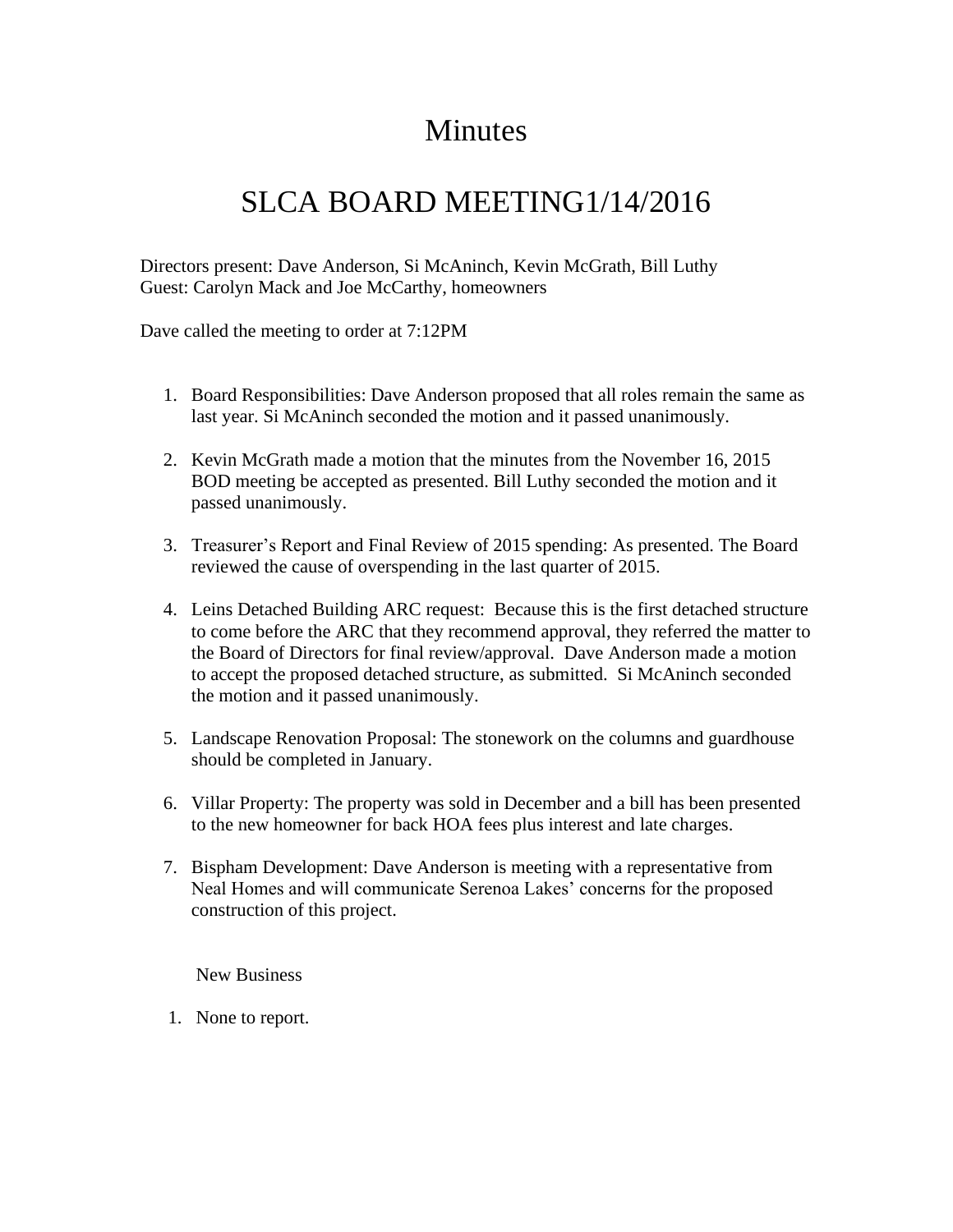## Minutes

## SLCA BOARD MEETING1/14/2016

Directors present: Dave Anderson, Si McAninch, Kevin McGrath, Bill Luthy Guest: Carolyn Mack and Joe McCarthy, homeowners

Dave called the meeting to order at 7:12PM

- 1. Board Responsibilities: Dave Anderson proposed that all roles remain the same as last year. Si McAninch seconded the motion and it passed unanimously.
- 2. Kevin McGrath made a motion that the minutes from the November 16, 2015 BOD meeting be accepted as presented. Bill Luthy seconded the motion and it passed unanimously.
- 3. Treasurer's Report and Final Review of 2015 spending: As presented. The Board reviewed the cause of overspending in the last quarter of 2015.
- 4. Leins Detached Building ARC request: Because this is the first detached structure to come before the ARC that they recommend approval, they referred the matter to the Board of Directors for final review/approval. Dave Anderson made a motion to accept the proposed detached structure, as submitted. Si McAninch seconded the motion and it passed unanimously.
- 5. Landscape Renovation Proposal: The stonework on the columns and guardhouse should be completed in January.
- 6. Villar Property: The property was sold in December and a bill has been presented to the new homeowner for back HOA fees plus interest and late charges.
- 7. Bispham Development: Dave Anderson is meeting with a representative from Neal Homes and will communicate Serenoa Lakes' concerns for the proposed construction of this project.

New Business

1. None to report.